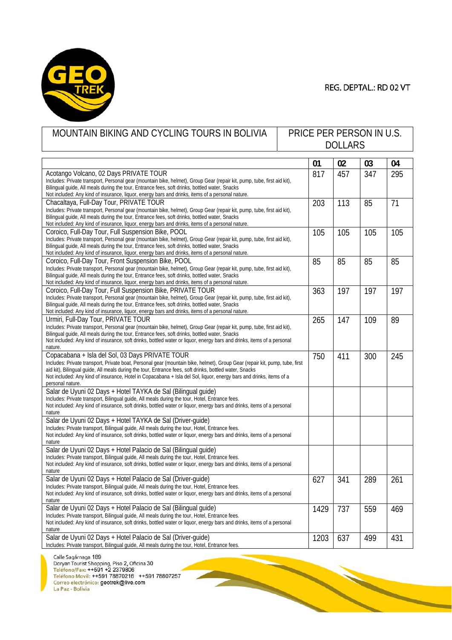

## REG. DEPTAL.: RD 02 VT

**CONTRACTOR** 

| MOUNTAIN BIKING AND CYCLING TOURS IN BOLIVIA                                                                                                                                                                                                                                                                                                                                                                                         |  | PRICE PER PERSON IN U.S.<br><b>DOLLARS</b> |     |     |     |  |
|--------------------------------------------------------------------------------------------------------------------------------------------------------------------------------------------------------------------------------------------------------------------------------------------------------------------------------------------------------------------------------------------------------------------------------------|--|--------------------------------------------|-----|-----|-----|--|
|                                                                                                                                                                                                                                                                                                                                                                                                                                      |  | 01                                         | 02  | 03  | 04  |  |
| Acotango Volcano, 02 Days PRIVATE TOUR<br>Includes: Private transport, Personal gear (mountain bike, helmet), Group Gear (repair kit, pump, tube, first aid kit),<br>Bilingual guide, All meals during the tour, Entrance fees, soft drinks, bottled water, Snacks<br>Not included: Any kind of insurance, liquor, energy bars and drinks, items of a personal nature.                                                               |  | 817                                        | 457 | 347 | 295 |  |
| Chacaltaya, Full-Day Tour, PRIVATE TOUR<br>Includes: Private transport, Personal gear (mountain bike, helmet), Group Gear (repair kit, pump, tube, first aid kit),<br>Bilingual guide, All meals during the tour, Entrance fees, soft drinks, bottled water, Snacks<br>Not included: Any kind of insurance, liquor, energy bars and drinks, items of a personal nature.                                                              |  | 203                                        | 113 | 85  | 71  |  |
| Coroico, Full-Day Tour, Full Suspension Bike, POOL<br>Includes: Private transport, Personal gear (mountain bike, helmet), Group Gear (repair kit, pump, tube, first aid kit),<br>Bilingual quide, All meals during the tour, Entrance fees, soft drinks, bottled water, Snacks<br>Not included: Any kind of insurance, liquor, energy bars and drinks, items of a personal nature.                                                   |  | 105                                        | 105 | 105 | 105 |  |
| Coroico, Full-Day Tour, Front Suspension Bike, POOL<br>Includes: Private transport, Personal gear (mountain bike, helmet), Group Gear (repair kit, pump, tube, first aid kit),<br>Bilingual guide, All meals during the tour, Entrance fees, soft drinks, bottled water, Snacks<br>Not included: Any kind of insurance, liquor, energy bars and drinks, items of a personal nature.                                                  |  | 85                                         | 85  | 85  | 85  |  |
| Coroico, Full-Day Tour, Full Suspension Bike, PRIVATE TOUR<br>Includes: Private transport, Personal gear (mountain bike, helmet), Group Gear (repair kit, pump, tube, first aid kit),<br>Bilingual quide, All meals during the tour, Entrance fees, soft drinks, bottled water, Snacks<br>Not included: Any kind of insurance, liquor, energy bars and drinks, items of a personal nature.                                           |  | 363                                        | 197 | 197 | 197 |  |
| Urmiri, Full-Day Tour, PRIVATE TOUR<br>Includes: Private transport, Personal gear (mountain bike, helmet), Group Gear (repair kit, pump, tube, first aid kit),<br>Bilingual quide, All meals during the tour, Entrance fees, soft drinks, bottled water, Snacks<br>Not included: Any kind of insurance, soft drinks, bottled water or liquor, energy bars and drinks, items of a personal<br>nature.                                 |  | 265                                        | 147 | 109 | 89  |  |
| Copacabana + Isla del Sol, 03 Days PRIVATE TOUR<br>Includes: Private transport, Private boat, Personal gear (mountain bike, helmet), Group Gear (repair kit, pump, tube, first<br>aid kit), Bilingual quide, All meals during the tour, Entrance fees, soft drinks, bottled water, Snacks<br>Not included: Any kind of insurance, Hotel in Copacabana + Isla del Sol, liquor, energy bars and drinks, items of a<br>personal nature. |  | 750                                        | 411 | 300 | 245 |  |
| Salar de Uyuni 02 Days + Hotel TAYKA de Sal (Bilingual guide)<br>Includes: Private transport, Bilingual guide, All meals during the tour, Hotel, Entrance fees.<br>Not included: Any kind of insurance, soft drinks, bottled water or liquor, energy bars and drinks, items of a personal<br>nature                                                                                                                                  |  |                                            |     |     |     |  |
| Salar de Uyuni 02 Days + Hotel TAYKA de Sal (Driver-guide)<br>Includes: Private transport, Bilingual guide, All meals during the tour, Hotel, Entrance fees.<br>Not included: Any kind of insurance, soft drinks, bottled water or liquor, energy bars and drinks, items of a personal<br>nature                                                                                                                                     |  |                                            |     |     |     |  |
| Salar de Uyuni 02 Days + Hotel Palacio de Sal (Bilingual guide)<br>Includes: Private transport, Bilingual guide, All meals during the tour, Hotel, Entrance fees.<br>Not included: Any kind of insurance, soft drinks, bottled water or liquor, energy bars and drinks, items of a personal<br>nature                                                                                                                                |  |                                            |     |     |     |  |
| Salar de Uyuni 02 Days + Hotel Palacio de Sal (Driver-guide)<br>Includes: Private transport, Bilingual guide, All meals during the tour, Hotel, Entrance fees.<br>Not included: Any kind of insurance, soft drinks, bottled water or liquor, energy bars and drinks, items of a personal<br>nature                                                                                                                                   |  | 627                                        | 341 | 289 | 261 |  |
| Salar de Uyuni 02 Days + Hotel Palacio de Sal (Bilingual guide)<br>Includes: Private transport, Bilingual guide, All meals during the tour, Hotel, Entrance fees.<br>Not included: Any kind of insurance, soft drinks, bottled water or liquor, energy bars and drinks, items of a personal<br>nature                                                                                                                                |  | 1429                                       | 737 | 559 | 469 |  |
| Salar de Uyuni 02 Days + Hotel Palacio de Sal (Driver-quide)<br>Includes: Private transport, Bilingual guide, All meals during the tour, Hotel, Entrance fees.                                                                                                                                                                                                                                                                       |  | 1203                                       | 637 | 499 | 431 |  |

Calle Sagárnaga 189<br>Doryan Tourist Shopping, Piso 2, Oficina 30<br>Teléfono/Fax: ++591 +2 2379806<br>Teléfono Movil: ++591 78870216 ++591 78807257<br>Correo electrónico: geotrek@live.com<br>La Paz - Bolivia